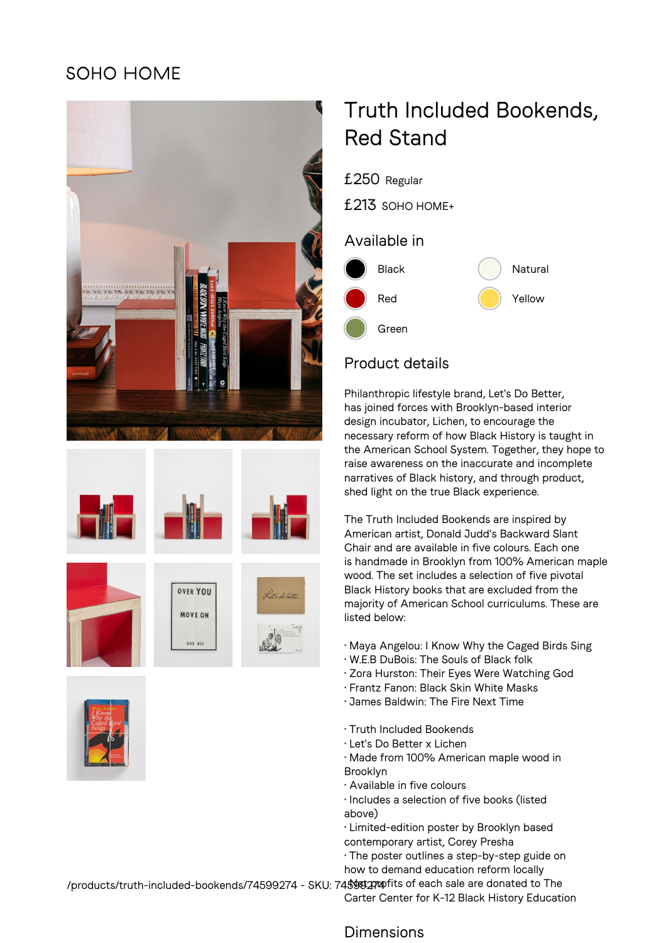## **SOHO HOME**











# Truth Included Bookends, Red Stand

£250 Regular £213 SOHO HOME+ Available in Black (a) Natural Red **Contract Contract Contract Contract Contract Contract Contract Contract Contract Contract Contract Oriental** Green

### Product details

Philanthropic lifestyle brand, Let's Do Better, has joined forces with Brooklyn-based interior design incubator, Lichen, to encourage the necessary reform of how Black History is taught in the American School System. Together, they hope to raise awareness on the inaccurate and incomplete narratives of Black history, and through product, shed light on the true Black experience.

The Truth Included Bookends are inspired by American artist, Donald Judd's Backward Slant Chair and are available in five colours. Each one is handmade in Brooklyn from 100% American maple wood. The set includes a selection of five pivotal Black History books that are excluded from the majority of American School curriculums. These are listed below:

- Maya Angelou: I Know Why the Caged Birds Sing
- W.E.B DuBois: The Souls of Black folk
- Zora Hurston: Their Eyes Were Watching God
- Frantz Fanon: Black Skin White Masks
- James Baldwin: The Fire Next Time
- Truth Included Bookends
- Let's Do Better x Lichen
- Made from 100% American maple wood in Brooklyn
- Available in five colours
- Includes a selection of five books (listed above)
- Limited-edition poster by Brooklyn based contemporary artist, Corey Presha
- The poster outlines a step-by-step guide on how to demand education reform locally

/products/truth-included-bookends/74599274 - SKU: 74\$\$92774pfits of each sale are donated to The Carter Center for K-12 Black History Education

#### Dimensions